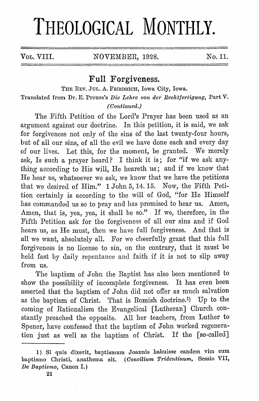## **THEOLOGICAL MONTHLY.**

Vol. VIII. NOVEMBER, 1928. No. 11.

## **Full Forgiveness.**

THE REV. JUL. A. FRIEDRICII, Iowa City, Iowa. Translated from Dr. E. Preuss's *Die Lehre von der Rechtfertigung,* Part V. *(Continued.)* 

The Fifth Petition of the Lord's Prayer has been used as an argument against our doctrine. In this petition, it is said, we ask for forgiveness not only of the sins of the last twenty-four hours, but of all our sins, of all the evil we have done each and every day of our lives. Let this, for the moment, be granted. We merely ask, Is such a prayer heard? I think it is; for "if we ask anything according to His will, He heareth us; and if we know that He hear us, whatsoever we ask, we know that we have the petitions that we desired of Him." 1 John 5, 14. 15. Now, the Fifth Petition certainly is according to the will of God, "for He Himself has commanded us so to pray and has promised to hear us. Amen, Amen, that is, yea, yea, it shall be so." If we, therefore, in the Fifth Petition ask for the forgiveness of all our sins and if God hears us, as He must, then we have full forgiveness. And that is all we want, absolutely all. For we cheerfully grant that this full forgiveness is no license to sin, on the contrary, that it must be held fast by daily repentance and faith if it is not to slip away from us.

The baptism of John the Baptist has also been mentioned to show the possibility of incomplete forgiveness. It has even been asserted that the baptism of John did not offer as much salvation as the baptism of Christ. That is Romish doctrine.<sup>1)</sup> Up to the coming of Rationalism the Evangelical [Lutheran] Church constantly preached the opposite. All her teachers, from Luther to Spener, have confessed that the baptism of John worked regeneration just as well as the baptism of Christ. If the [so-called]

<sup>1)</sup> Si quis dixerit, baptismum Joannis habuisse eandem vim cum baptismo Christi, anathema sit. ( *Concilium Tridentinum,* Sessio VII, *De Baptismo,* Canon I.)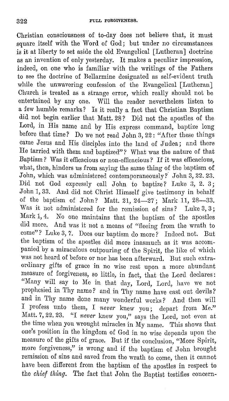Christian consciousness of to-day does not believe that, it must square itself with the Word of God; but under no circumstances is it at liberty to set aside the old Evangelical [Lutheran] doctrine as an invention of only yesterday. It makes a peculiar impression, indeed, on one who is familiar with the writings of the Fathers to see the doctrine of Bellarmine designated as self-evident truth while the unwavering confession of the Evangelical [Lutheran] Church is treated as a strange error, which really should not be entertained by any one. Will the reader nevertheless listen to a few humble remarks? Is it really a fact that Christian Baptism did not begin earlier that Matt. 28? Did not the apostles of the Lord, in His name and by His express command, baptize long before that time? Do we not read John 3, 22: "After these things came Jesus and His disciples into the land of Judea; and there He tarried with them and baptized"? What was the nature of that Baptism? Was it efficacious or non-efficacious? If it was efficacious, what, then, hinders us from saying the same thing of the baptism of John, which was administered contemporaneously?' John 3, 22. 23. Did not God expressly call John to baptize? Luke 3, 2. 3; John 1, 33. And did not Christ Himself give testimony in behalf of the baptism of John? Matt. 21,  $24-27$ ; Mark 11,  $28-33$ . Was it not administered for the remission of sins? Luke 3, 3; Mark 1, 4. No one maintains that the baptism of the apostles did more. And was it not a means of "fleeing from the wrath to come"? Luke 3, 7. Does our baptism do more? Indeed not. But the baptism of the apostles did more inasmuch as it was accompanied by a miraculous outpouring of the Spirit, the like of which was not heard of before or nor has been afterward. But such extraordinary gifts of grace in no wise rest upon a more abundant measure of forgiveness, so little, in fact, that the Lord declares: "Many will say to Me in that day, Lord, Lord, have we not prophesied in Thy name? and in Thy name have cast out devils? and in Thy name done many wonderful works? And then will I profess unto them, I *never* knew you; depart from Me." Matt. 7, 22. 23. "I *never* knew you," says the Lord, not even at the time when you wrought miracles in My name. This shows that one's position in the kingdom of God in no wise depends upon the measure of the gifts of grace. But if the conclusion, "More Spirit, more forgiveness," is wrong and if the baptism of John brought remission of sins and saved from the wrath to come, then it cannot have been different from the baptism of the apostles in respect to the *chief thing*. The fact that John the Baptist testifies concern-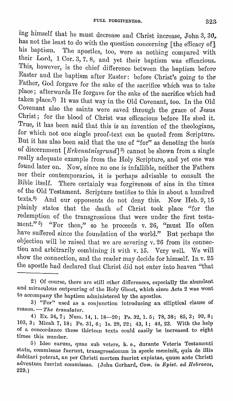ing himself that he must decrease and Christ increase, John 3,  $30<sub>r</sub>$ . has not the least to do with the question concerning [the efficacy of], his baptism. The apostles, too, were as nothing compared with their Lord, 1 Cor. 3, 7. 8, and yet their baptism was efficacious. This, however, is the chief difference between the baptism before Easter and the baptism after Easter: before Christ's going to the Father, God forgave for the sake of the sacrifice which was to take place; afterwards He forgave for the sake of the sacrifice which had taken place.2) It was that way in the Old Covenant, too. In the Old Covenant also the saints were saved through the grace of Jesus Christ; for the blood 0£ Christ was efficacious before He shed it. True, it has been said that this is an invention of the theologians, for which not one single proof-text can be quoted from Scripture. But it has also been said that the use of "for" as denoting the basis of discernment *[Erkenntnisgrund]*<sup>3</sup>) cannot be shown from a single really adequate example from the Holy Scripture, and yet one was found later on. Now, since no one is infallible, neither the Fathers nor their contemporaries, it is perhaps advisable to consult the Bible itself. There certainly was forgiveness of sins in the times of the Old Testament. Scripture testifies to this in about a hundred  $textes.4)$  And our opponents do not deny this. Now Heb. 9, 15 plainly states that the death of Christ took place "for the redemption of the transgressions that were under the first testament."<sup>5</sup>  $\frac{1}{2}$  "For then," so he proceeds v. 26, "must He often have suffered since the foundation of the world." But perhaps the objection will be raised that we are severing v. 26 from its connection and arbitrarily combining it with v. 15. Very well. We will show the connection, and the reader may decide for himself. In v. 25 the apostle had declared that Christ did not enter into heaven "that

<sup>2)</sup> Of course, there arc still other differences, especially the abundant and miraculous outpouring of the Holy Ghost, which since Acts 2 was wont to accompany the baptism administered by the apostles.

<sup>3) &</sup>quot;For" used as a conjunction introducing an elliptical clause of reason. - The translator.

<sup>4)</sup> Ex. 34, 7; Num. 14, I. 18-20; Ps. 32, I. 5; 78, 38; 85, 3; 99, 8; 103, 3; JHicah 7, 18; Ps. 31, 6; Is. 29, 22; 43, **l;** 44, 23. With the help of a concordance these thirteen texts could easily be increased to eight times this number.

<sup>5)</sup> Ideo earum, quae sub vetere, **h.** e., durante Veteris Testamenti statu, commissae fuerunt, transgressionum in specie meminit, quia de illis dubitari poterat, an per Christi mortem fuerint expiatae, quum ante Christi adventmn fuerint commissac. (John Gerhard, *Corn. in Epist. ad Ilebraeos,*  229.)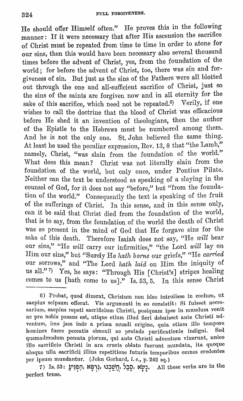He should offer Himself often." He proves this in the following manner: If it were necessary that after His ascension the sacrifice of Christ must be repeated from time to time in order to atone for our sins, then this would have been necessary also several thousand times before the advent of Christ, yes, from the foundation of the world; for before the advent of Christ, too, there was sin and forgiveness of sin. But just as the sins of the Fathers were all blotted out through the one and all-sufficient sacrifice of Christ, just so the sins of the saints are forgiven now and in all eternity for the sake of this sacrifice, which need not be repeated.<sup>6)</sup> Verily, if one wishes to call the doctrine that the blood of Christ was efficacious before He shed it an invention of theologians, then the author of the Epistle to the Hebrews must be numbered among them. And he is not the only one. St. John believed the same thing. At least he used the peculiar expression, Rev. 13, 8 that "the Lamb," namely, Christ, "was slain from the foundation of the world." What does this mean? Christ was not literally slain from the foundation of the world, but only once, under Pontius Pilate. Neither can the text be understood as speaking of a slaying in the counsel of God, for it does not say "before," but "from the foundation of the world." Consequently the text is speaking of the fruit of the sufferings of Christ. In this sense, and in this sense only, can it be said that Christ died from the foundation of the world, that is to say, from the foundation of the world the death of Christ was so present in the mind of God that He forgave sins for the sake of this death. Therefore Isaiah does not say, "He *will* bear our sins," "He will carry our infirmities," "the Lord will lay on Him our sins," but "Surely Ho *hath borne* our griefs," "He *carried*  our sorrows," and "The Lord hath laid on Him the iniquity of us all." 7) Yes, he says: "Through His [Christ's] stripes healing comes to us [hath come to us]." Is. 53, 5. In this sense Christ

7) Is. 53: **l/1~!:lil, t{!!iiJ, ~J:itjn, S:io, t{~J.** All these verbs are in the perfect tense.

<sup>6)</sup> Probat, quod dixerat, Christum non ideo introiisse in coclum, ut saepius seipsum offerat. Vis argumenti in eo consistit: Si fuisset necessarium, saepius rcpeti sacrificium Christi, postquam ipse in mundum venit ac pro nobis passus est, utique etiam illud fieri debuisset ante Christi adventum, imo jam inde a prima mundi origine, quia etiam illo tempore homines fucre peccatis obnoxii ac proinde purificationis imligni. Sed quemadmodum peccata piorum, qui ante Christi adventum vixerunt, unico illo sacrificio Christi in ara crucis oblato fuerunt mundata, ita quoque absque nlla sacrificii illins repetitione futnris temporibus omnes credentes per ipsum mundantur. (John Gerhard, l. c., p. 242 sq.)